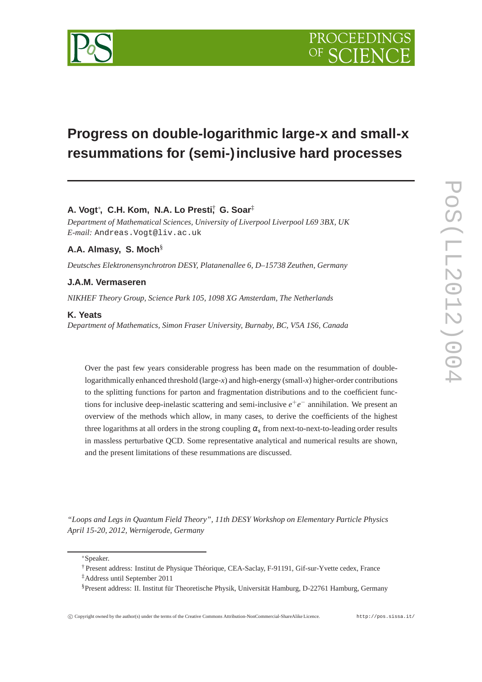

# **Progress on double-logarithmic large-x and small-x resummations for (semi-)inclusive hard processes**

# **A. Vogt**<sup>∗</sup> **, C.H. Kom, N.A. Lo Presti**† **, G. Soar**‡

*Department of Mathematical Sciences, University of Liverpool Liverpool L69 3BX, UK E-mail:* Andreas.Vogt@liv.ac.uk

# **A.A. Almasy, S. Moch**§

*Deutsches Elektronensynchrotron DESY, Platanenallee 6, D–15738 Zeuthen, Germany*

# **J.A.M. Vermaseren**

*NIKHEF Theory Group, Science Park 105, 1098 XG Amsterdam, The Netherlands*

## **K. Yeats**

*Department of Mathematics, Simon Fraser University, Burnaby, BC, V5A 1S6, Canada*

Over the past few years considerable progress has been made on the resummation of doublelogarithmically enhanced threshold (large-*x*) and high-energy (small-*x*) higher-order contributions to the splitting functions for parton and fragmentation distributions and to the coefficient functions for inclusive deep-inelastic scattering and semi-inclusive  $e^+e^-$  annihilation. We present an overview of the methods which allow, in many cases, to derive the coefficients of the highest three logarithms at all orders in the strong coupling  $\alpha_s$  from next-to-next-to-leading order results in massless perturbative QCD. Some representative analytical and numerical results are shown, and the present limitations of these resummations are discussed.

*"Loops and Legs in Quantum Field Theory", 11th DESY Workshop on Elementary Particle Physics April 15-20, 2012, Wernigerode, Germany*

<sup>∗</sup>Speaker.

† Present address: Institut de Physique Théorique, CEA-Saclay, F-91191, Gif-sur-Yvette cedex, France

<sup>‡</sup>Address until September 2011

<sup>§</sup>Present address: II. Institut für Theoretische Physik, Universität Hamburg, D-22761 Hamburg, Germany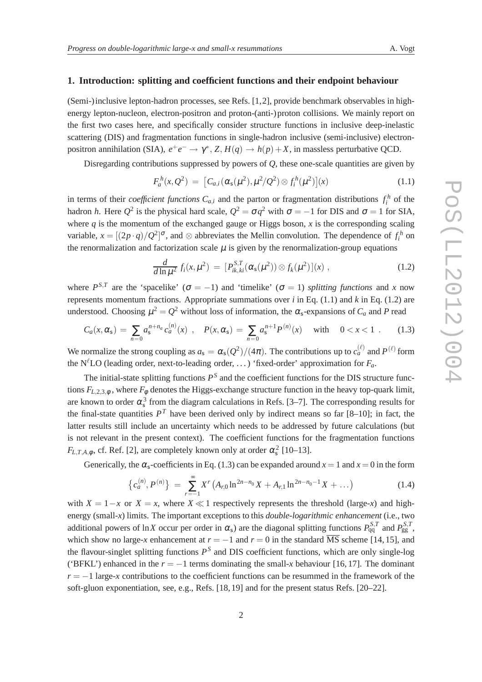#### **1. Introduction: splitting and coefficient functions and their endpoint behaviour**

(Semi-)inclusive lepton-hadron processes, see Refs. [1,2], provide benchmark observables in highenergy lepton-nucleon, electron-positron and proton-(anti-)proton collisions. We mainly report on the first two cases here, and specifically consider structure functions in inclusive deep-inelastic scattering (DIS) and fragmentation functions in single-hadron inclusive (semi-inclusive) electronpositron annihilation (SIA),  $e^+e^- \to \gamma^*$ , *Z*,  $H(q) \to h(p)+X$ , in massless perturbative QCD.

Disregarding contributions suppressed by powers of *Q*, these one-scale quantities are given by

$$
F_a^h(x, Q^2) = [C_{a,i}(\alpha_s(\mu^2), \mu^2/Q^2) \otimes f_i^h(\mu^2)](x)
$$
 (1.1)

in terms of their *coefficient functions*  $C_{a,i}$  and the parton or fragmentation distributions  $f_i^h$  of the hadron *h*. Here  $Q^2$  is the physical hard scale,  $Q^2 = \sigma q^2$  with  $\sigma = -1$  for DIS and  $\sigma = 1$  for SIA, where  $q$  is the momentum of the exchanged gauge or Higgs boson,  $x$  is the corresponding scaling variable,  $x = [(2p \cdot q)/Q^2]^\sigma$ , and ⊗ abbreviates the Mellin convolution. The dependence of  $f_i^h$  on the renormalization and factorization scale  $\mu$  is given by the renormalization-group equations

$$
\frac{d}{d\ln\mu^2} f_i(x,\mu^2) = [P_{ik,ki}^{S,T}(\alpha_s(\mu^2)) \otimes f_k(\mu^2)](x) ,
$$
 (1.2)

where  $P^{S,T}$  are the 'spacelike' ( $\sigma = -1$ ) and 'timelike' ( $\sigma = 1$ ) *splitting functions* and *x* now represents momentum fractions. Appropriate summations over *i* in Eq. (1.1) and *k* in Eq. (1.2) are understood. Choosing  $\mu^2 = Q^2$  without loss of information, the  $\alpha_s$ -expansions of  $C_a$  and P read

$$
C_a(x, \alpha_s) = \sum_{n=0} a_s^{n+n_a} c_a^{(n)}(x) , \quad P(x, \alpha_s) = \sum_{n=0} a_s^{n+1} P^{(n)}(x) \quad \text{with} \quad 0 < x < 1 . \tag{1.3}
$$

We normalize the strong coupling as  $a_s = \alpha_s(Q^2)/(4\pi)$ . The contributions up to  $c_a^{(\ell)}$  and  $P^{(\ell)}$  form the N<sup>ℓ</sup>LO (leading order, next-to-leading order, ...) 'fixed-order' approximation for  $F_a$ .

The initial-state splitting functions  $P<sup>S</sup>$  and the coefficient functions for the DIS structure functions  $F_{L,2,3,\phi}$ , where  $F_{\phi}$  denotes the Higgs-exchange structure function in the heavy top-quark limit, are known to order  $\alpha_s^3$  from the diagram calculations in Refs. [3–7]. The corresponding results for the final-state quantities  $P<sup>T</sup>$  have been derived only by indirect means so far [8–10]; in fact, the latter results still include an uncertainty which needs to be addressed by future calculations (but is not relevant in the present context). The coefficient functions for the fragmentation functions  $F_{L,T,A,\phi}$ , cf. Ref. [2], are completely known only at order  $\alpha_s^2$  [10–13].

Generically, the  $\alpha_s$ -coefficients in Eq. (1.3) can be expanded around  $x = 1$  and  $x = 0$  in the form

$$
\left\{c_a^{(n)}, P^{(n)}\right\} = \sum_{r=-1}^{\infty} X^r \left(A_{r,0} \ln^{2n-n_0} X + A_{r,1} \ln^{2n-n_0-1} X + \dots\right)
$$
 (1.4)

with  $X = 1-x$  or  $X = x$ , where  $X \ll 1$  respectively represents the threshold (large-*x*) and highenergy (small-*x*) limits. The important exceptions to this *double-logarithmic enhancement* (i.e., two additional powers of ln*X* occur per order in  $\alpha_s$ ) are the diagonal splitting functions  $P_{qq}^{S,T}$  and  $P_{gg}^{S,T}$ , which show no large-*x* enhancement at  $r = -1$  and  $r = 0$  in the standard  $\overline{MS}$  scheme [14, 15], and the flavour-singlet splitting functions *P S* and DIS coefficient functions, which are only single-log ('BFKL') enhanced in the  $r = -1$  terms dominating the small-x behaviour [16, 17]. The dominant  $r = -1$  large-*x* contributions to the coefficient functions can be resummed in the framework of the soft-gluon exponentiation, see, e.g., Refs. [18, 19] and for the present status Refs. [20–22].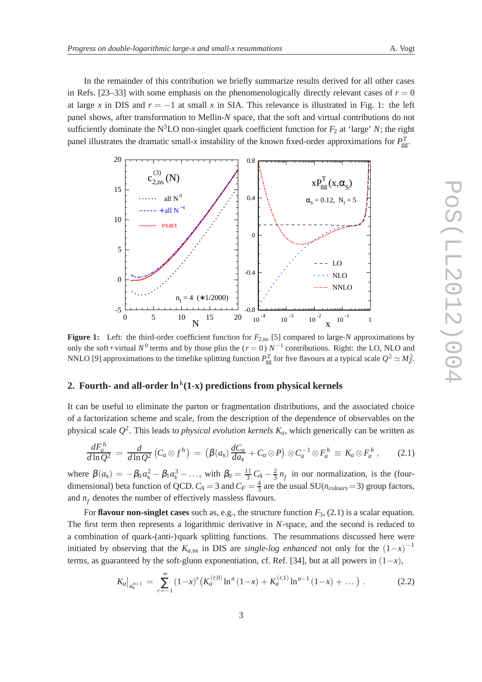In the remainder of this contribution we briefly summarize results derived for all other cases in Refs.  $[23-33]$  with some emphasis on the phenomenologically directly relevant cases of  $r = 0$ at large x in DIS and  $r = -1$  at small x in SIA. This relevance is illustrated in Fig. 1: the left panel shows, after transformation to Mellin-*N* space, that the soft and virtual contributions do not sufficiently dominate the N<sup>3</sup>LO non-singlet quark coefficient function for  $F_2$  at 'large' *N*; the right panel illustrates the dramatic small-*x* instability of the known fixed-order approximations for  $P_{gg}^T$ .



Figure 1: Left: the third-order coefficient function for  $F_{2,\text{ns}}$  [5] compared to large-*N* approximations by only the soft+virtual  $N^0$  terms and by those plus the ( $r = 0$ )  $N^{-1}$  contributions. Right: the LO, NLO and NNLO [9] approximations to the timelike splitting function  $P_{gg}^T$  for five flavours at a typical scale  $Q^2 \simeq M_Z^2$ .

# **2. Fourth- and all-order**  $\ln^{\rm k}$ **(1-x) predictions from physical kernels**

It can be useful to eliminate the parton or fragmentation distributions, and the associated choice of a factorization scheme and scale, from the description of the dependence of observables on the physical scale *Q* 2 . This leads to *physical evolution kernels Ka*, which generically can be written as

$$
\frac{dF_a^h}{d\ln Q^2} = \frac{d}{d\ln Q^2} \left( C_a \otimes f^h \right) = \left( \beta(a_s) \frac{dC_a}{da_s} + C_a \otimes P \right) \otimes C_a^{-1} \otimes F_a^h \equiv K_a \otimes F_a^h \,, \tag{2.1}
$$

where  $\beta(a_5) = -\beta_0 a_5^2 - \beta_1 a_5^3 - \dots$ , with  $\beta_0 = \frac{11}{3}$  $rac{11}{3}C_A - \frac{2}{3}$  $\frac{2}{3}n_f$  in our normalization, is the (fourdimensional) beta function of QCD.  $C_A = 3$  and  $C_F = \frac{4}{3}$  are the usual SU( $n_{colors} = 3$ ) group factors, and  $n_f$  denotes the number of effectively massless flavours.

For **flavour non-singlet cases** such as, e.g., the structure function *F*3, (2.1) is a scalar equation. The first term then represents a logarithmic derivative in *N*-space, and the second is reduced to a combination of quark-(anti-)quark splitting functions. The resummations discussed here were initiated by observing that the  $K_{a,\text{ns}}$  in DIS are *single-log enhanced* not only for the  $(1-x)^{-1}$ terms, as guaranteed by the soft-gluon exponentiation, cf. Ref. [34], but at all powers in  $(1-x)$ ,

$$
K_a\big|_{a_5^{n+1}} = \sum_{r=-1}^{\infty} (1-x)^r \big( K_a^{(r,0)} \ln^n (1-x) + K_a^{(r,1)} \ln^{n-1} (1-x) + \dots \big) . \tag{2.2}
$$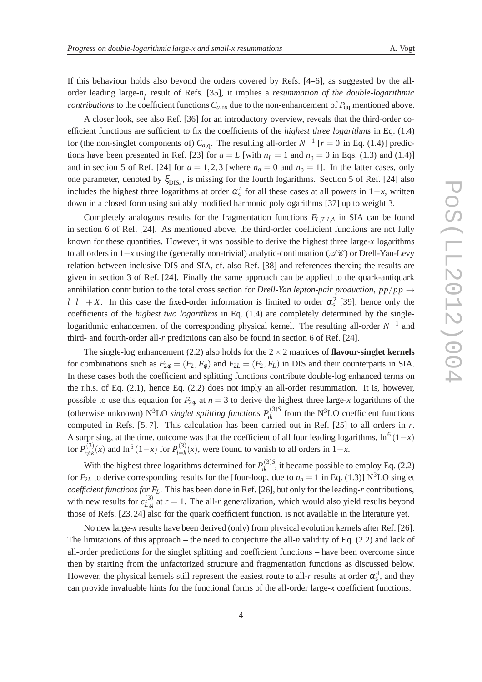If this behaviour holds also beyond the orders covered by Refs. [4–6], as suggested by the allorder leading large-*n<sup>f</sup>* result of Refs. [35], it implies a *resummation of the double-logarithmic contributions* to the coefficient functions  $C_{a,\text{ns}}$  due to the non-enhancement of  $P_{\text{qq}}$  mentioned above.

A closer look, see also Ref. [36] for an introductory overview, reveals that the third-order coefficient functions are sufficient to fix the coefficients of the *highest three logarithms* in Eq. (1.4) for (the non-singlet components of)  $C_{a,q}$ . The resulting all-order  $N^{-1}$  [ $r = 0$  in Eq. (1.4)] predictions have been presented in Ref. [23] for  $a = L$  [with  $n<sub>L</sub> = 1$  and  $n<sub>0</sub> = 0$  in Eqs. (1.3) and (1.4)] and in section 5 of Ref. [24] for  $a = 1,2,3$  [where  $n_a = 0$  and  $n_0 = 1$ ]. In the latter cases, only one parameter, denoted by  $\xi_{\text{DIS}_4}$ , is missing for the fourth logarithms. Section 5 of Ref. [24] also includes the highest three logarithms at order  $\alpha_s^4$  for all these cases at all powers in 1–*x*, written down in a closed form using suitably modified harmonic polylogarithms [37] up to weight 3.

Completely analogous results for the fragmentation functions *FL*,*T*,*I*,*<sup>A</sup>* in SIA can be found in section 6 of Ref. [24]. As mentioned above, the third-order coefficient functions are not fully known for these quantities. However, it was possible to derive the highest three large-*x* logarithms to all orders in 1–*x* using the (generally non-trivial) analytic-continuation ( $\mathscr{A}\mathscr{C}$ ) or Drell-Yan-Levy relation between inclusive DIS and SIA, cf. also Ref. [38] and references therein; the results are given in section 3 of Ref. [24]. Finally the same approach can be applied to the quark-antiquark annihilation contribution to the total cross section for *Drell-Yan lepton-pair production*,  $pp/p\bar{p} \rightarrow$  $l^+l^- + X$ . In this case the fixed-order information is limited to order  $\alpha_s^2$  [39], hence only the coefficients of the *highest two logarithms* in Eq. (1.4) are completely determined by the singlelogarithmic enhancement of the corresponding physical kernel. The resulting all-order  $N^{-1}$  and third- and fourth-order all-*r* predictions can also be found in section 6 of Ref. [24].

The single-log enhancement  $(2.2)$  also holds for the  $2 \times 2$  matrices of **flavour-singlet kernels** for combinations such as  $F_{2\phi} = (F_2, F_{\phi})$  and  $F_{2L} = (F_2, F_L)$  in DIS and their counterparts in SIA. In these cases both the coefficient and splitting functions contribute double-log enhanced terms on the r.h.s. of Eq. (2.1), hence Eq. (2.2) does not imply an all-order resummation. It is, however, possible to use this equation for  $F_{2\phi}$  at  $n=3$  to derive the highest three large-*x* logarithms of the (otherwise unknown)  $N^3LO$  *singlet splitting functions*  $P_{ik}^{(3)S}$  from the  $N^3LO$  coefficient functions computed in Refs. [5, 7]. This calculation has been carried out in Ref. [25] to all orders in *r*. A surprising, at the time, outcome was that the coefficient of all four leading logarithms,  $\ln^6(1-x)$ for  $P_{i\neq k}^{(3)}$  $p_{i\neq k}^{(3)}(x)$  and  $\ln^5(1-x)$  for  $P_{i=k}^{(3)}$  $\sum_{i=k}^{(3)} (x)$ , were found to vanish to all orders in 1–*x*.

With the highest three logarithms determined for  $P_{ik}^{(3)S}$ , it became possible to employ Eq. (2.2) for  $F_{2L}$  to derive corresponding results for the [four-loop, due to  $n_a = 1$  in Eq. (1.3)] N<sup>3</sup>LO singlet *coefficient functions for FL*. This has been done in Ref. [26], but only for the leading-*r* contributions, with new results for  $c_{L, \sigma}^{(3)}$  $L_{1g}^{(5)}$  at  $r = 1$ . The all-*r* generalization, which would also yield results beyond those of Refs. [23, 24] also for the quark coefficient function, is not available in the literature yet.

No new large-*x* results have been derived (only) from physical evolution kernels after Ref. [26]. The limitations of this approach – the need to conjecture the all-*n* validity of Eq. (2.2) and lack of all-order predictions for the singlet splitting and coefficient functions – have been overcome since then by starting from the unfactorized structure and fragmentation functions as discussed below. However, the physical kernels still represent the easiest route to all-*r* results at order  $\alpha_s^4$ , and they can provide invaluable hints for the functional forms of the all-order large-*x* coefficient functions.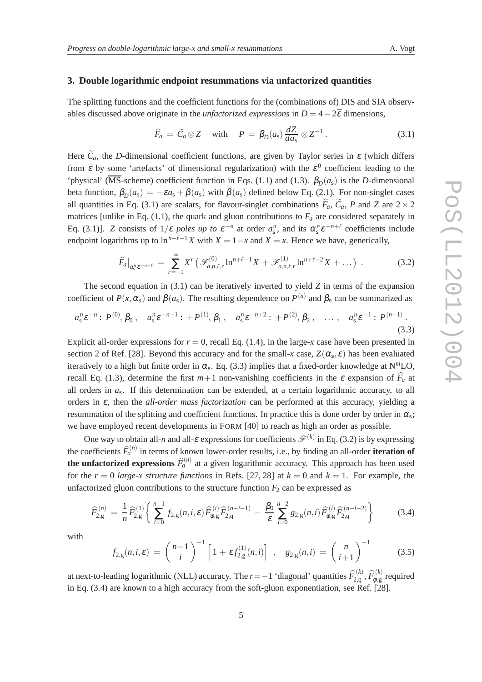#### **3. Double logarithmic endpoint resummations via unfactorized quantities**

The splitting functions and the coefficient functions for the (combinations of) DIS and SIA observables discussed above originate in the *unfactorized expressions* in  $D = 4-2\bar{\epsilon}$  dimensions,

$$
\widehat{F}_a = \widetilde{C}_a \otimes Z \quad \text{with} \quad P = \beta_D(a_s) \frac{dZ}{da_s} \otimes Z^{-1} \,. \tag{3.1}
$$

Here  $\tilde{C}_a$ , the *D*-dimensional coefficient functions, are given by Taylor series in  $\varepsilon$  (which differs from  $\bar{\varepsilon}$  by some 'artefacts' of dimensional regularization) with the  $\varepsilon^0$  coefficient leading to the 'physical' (MS-scheme) coefficient function in Eqs. (1.1) and (1.3).  $\beta_D(a_s)$  is the *D*-dimensional beta function,  $\beta_D(a_s) = -\varepsilon a_s + \beta(a_s)$  with  $\beta(a_s)$  defined below Eq. (2.1). For non-singlet cases all quantities in Eq. (3.1) are scalars, for flavour-singlet combinations  $\hat{F}_a$ ,  $\tilde{C}_a$ , *P* and *Z* are 2 × 2 matrices [unlike in Eq. (1.1), the quark and gluon contributions to  $F_a$  are considered separately in Eq. (3.1)]. *Z* consists of  $1/\varepsilon$  *poles up to*  $\varepsilon^{-n}$  at order  $a_s^n$ , and its  $\alpha_s^n \varepsilon^{-n+\ell}$  coefficients include endpoint logarithms up to  $\ln^{n+\ell-1} X$  with  $X = 1-x$  and  $X = x$ . Hence we have, generically,

$$
\widehat{F}_a|_{a_s^n e^{-n+\ell}} = \sum_{r=-1}^{\infty} X^r \left( \mathcal{F}_{a,n,\ell,r}^{(0)} \ln^{n+\ell-1} X + \mathcal{F}_{a,n,\ell,r}^{(1)} \ln^{n+\ell-2} X + \dots \right) . \tag{3.2}
$$

The second equation in (3.1) can be iteratively inverted to yield *Z* in terms of the expansion coefficient of  $P(x, \alpha_s)$  and  $\beta(a_s)$ . The resulting dependence on  $P^{(n)}$  and  $\beta_n$  can be summarized as

$$
a_s^n \varepsilon^{-n} : P^{(0)}, \beta_0, \quad a_s^n \varepsilon^{-n+1} : +P^{(1)}, \beta_1, \quad a_s^n \varepsilon^{-n+2} : +P^{(2)}, \beta_2, \quad \dots, \quad a_s^n \varepsilon^{-1} : P^{(n-1)}.
$$
\n(3.3)

Explicit all-order expressions for  $r = 0$ , recall Eq. (1.4), in the large-x case have been presented in section 2 of Ref. [28]. Beyond this accuracy and for the small-*x* case,  $Z(\alpha_s, \varepsilon)$  has been evaluated iteratively to a high but finite order in  $\alpha_s$ . Eq. (3.3) implies that a fixed-order knowledge at  $N^mLO$ , recall Eq. (1.3), determine the first  $m+1$  non-vanishing coefficients in the  $\varepsilon$  expansion of  $\hat{F}_a$  at all orders in *a*s . If this determination can be extended, at a certain logarithmic accuracy, to all orders in  $\varepsilon$ , then the *all-order mass factorization* can be performed at this accuracy, yielding a resummation of the splitting and coefficient functions. In practice this is done order by order in  $\alpha_s$ ; we have employed recent developments in FORM [40] to reach as high an order as possible.

One way to obtain all-*n* and all- $\varepsilon$  expressions for coefficients  $\mathscr{F}^{(k)}$  in Eq. (3.2) is by expressing the coefficients  $\widehat{F}_a^{(n)}$  in terms of known lower-order results, i.e., by finding an all-order **iteration of the unfactorized expressions**  $\widehat{F}_a^{(n)}$  at a given logarithmic accuracy. This approach has been used for the  $r = 0$  *large-x structure functions* in Refs. [27, 28] at  $k = 0$  and  $k = 1$ . For example, the unfactorized gluon contributions to the structure function  $F_2$  can be expressed as

$$
\widehat{F}_{2,g}^{(n)} = \frac{1}{n} \widehat{F}_{2,g}^{(1)} \left\{ \sum_{i=0}^{n-1} f_{2,g}(n,i,\varepsilon) \widehat{F}_{\phi,g}^{(i)} \widehat{F}_{2,q}^{(n-i-1)} - \frac{\beta_0}{\varepsilon} \sum_{i=0}^{n-2} g_{2,g}(n,i) \widehat{F}_{\phi,g}^{(i)} \widehat{F}_{2,q}^{(n-i-2)} \right\}
$$
(3.4)

with

$$
f_{2,g}(n,i,\varepsilon) = {n-1 \choose i}^{-1} \left[1 + \varepsilon f_{2,g}^{(1)}(n,i)\right] , \quad g_{2,g}(n,i) = {n \choose i+1}^{-1} \tag{3.5}
$$

at next-to-leading logarithmic (NLL) accuracy. The *r*=−1 'diagonal' quantities  $\widehat{F}_{2,\text{q}}^{(k)}$  $\widehat F_{2,\mathsf{q}}^{(k)}$ ,  $\widehat F_{\pmb\phi,\mathsf{g}}^{(k)}$  $\phi_{\varphi,g}^{(\kappa)}$  required in Eq. (3.4) are known to a high accuracy from the soft-gluon exponentiation, see Ref. [28].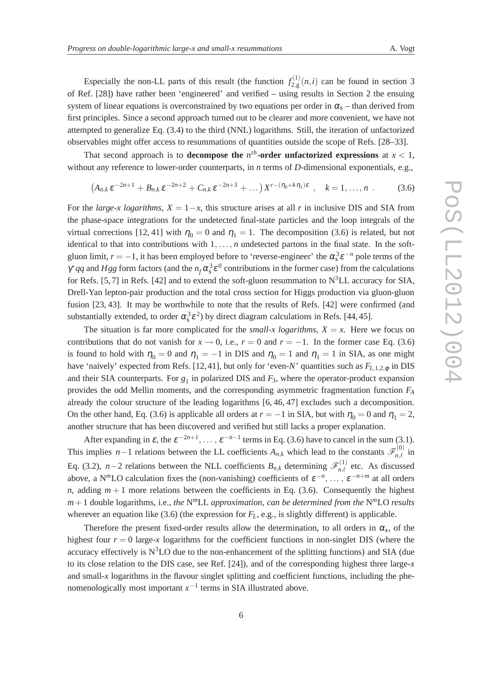Especially the non-LL parts of this result (the function  $f_{2g}^{(1)}$  $2_{2,g}^{(1)}(n,i)$  can be found in section 3 of Ref. [28]) have rather been 'engineered' and verified – using results in Section 2 the ensuing system of linear equations is overconstrained by two equations per order in  $\alpha_s$  – than derived from first principles. Since a second approach turned out to be clearer and more convenient, we have not attempted to generalize Eq. (3.4) to the third (NNL) logarithms. Still, the iteration of unfactorized observables might offer access to resummations of quantities outside the scope of Refs. [28–33].

That second approach is to **decompose the**  $n<sup>th</sup>$ -order unfactorized expressions at  $x < 1$ , without any reference to lower-order counterparts, in *n* terms of *D*-dimensional exponentials, e.g.,

$$
(A_{n,k}\varepsilon^{-2n+1} + B_{n,k}\varepsilon^{-2n+2} + C_{n,k}\varepsilon^{-2n+3} + \dots )X^{r-(\eta_0 + k\eta_1)\varepsilon} , \quad k = 1, \dots, n . \tag{3.6}
$$

For the *large-x logarithms*,  $X = 1-x$ , this structure arises at all *r* in inclusive DIS and SIA from the phase-space integrations for the undetected final-state particles and the loop integrals of the virtual corrections [12, 41] with  $\eta_0 = 0$  and  $\eta_1 = 1$ . The decomposition (3.6) is related, but not identical to that into contributions with 1, ..., *n* undetected partons in the final state. In the softgluon limit,  $r = -1$ , it has been employed before to 'reverse-engineer' the  $\alpha_s^3 \varepsilon^{-n}$  pole terms of the  $\gamma^* q q$  and *Hgg* form factors (and the  $n_f \alpha_s^3 \varepsilon^0$  contributions in the former case) from the calculations for Refs. [5, 7] in Refs. [42] and to extend the soft-gluon resummation to  $N<sup>3</sup>LL$  accuracy for SIA, Drell-Yan lepton-pair production and the total cross section for Higgs production via gluon-gluon fusion [23, 43]. It may be worthwhile to note that the results of Refs. [42] were confirmed (and substantially extended, to order  $\alpha_s^3 \varepsilon^2$ ) by direct diagram calculations in Refs. [44, 45].

The situation is far more complicated for the *small-x logarithms*,  $X = x$ . Here we focus on contributions that do not vanish for  $x \to 0$ , i.e.,  $r = 0$  and  $r = -1$ . In the former case Eq. (3.6) is found to hold with  $\eta_0 = 0$  and  $\eta_1 = -1$  in DIS and  $\eta_0 = 1$  and  $\eta_1 = 1$  in SIA, as one might have 'naively' expected from Refs. [12,41], but only for 'even-*N*' quantities such as  $F_{L,1,2,\phi}$  in DIS and their SIA counterparts. For  $g_1$  in polarized DIS and  $F_3$ , where the operator-product expansion provides the odd Mellin moments, and the corresponding asymmetric fragmentation function *F<sup>A</sup>* already the colour structure of the leading logarithms [6, 46, 47] excludes such a decomposition. On the other hand, Eq. (3.6) is applicable all orders at  $r = -1$  in SIA, but with  $\eta_0 = 0$  and  $\eta_1 = 2$ , another structure that has been discovered and verified but still lacks a proper explanation.

After expanding in  $\varepsilon$ , the  $\varepsilon^{-2n+1}$ , ...,  $\varepsilon^{-n-1}$  terms in Eq. (3.6) have to cancel in the sum (3.1). This implies *n*−1 relations between the LL coefficients  $A_{n,k}$  which lead to the constants  $\mathscr{F}_{n,\ell}^{(0)}$  in Eq. (3.2), *n*−2 relations between the NLL coefficients  $B_{n,k}$  determining  $\mathscr{F}_{n,\ell}^{(1)}$  etc. As discussed above, a N<sup>*m*</sup>LO calculation fixes the (non-vanishing) coefficients of  $\varepsilon^{-n}$ , ...,  $\varepsilon^{-n+m}$  at all orders *n*, adding  $m+1$  more relations between the coefficients in Eq. (3.6). Consequently the highest *m*+1 double logarithms, i.e., *the* N *<sup>m</sup>*LL *approximation, can be determined from the* N *<sup>m</sup>*LO *results* wherever an equation like (3.6) (the expression for  $F_L$ , e.g., is slightly different) is applicable.

Therefore the present fixed-order results allow the determination, to all orders in  $\alpha_s$ , of the highest four  $r = 0$  large-x logarithms for the coefficient functions in non-singlet DIS (where the accuracy effectively is  $N<sup>3</sup>LO$  due to the non-enhancement of the splitting functions) and SIA (due to its close relation to the DIS case, see Ref. [24]), and of the corresponding highest three large-*x* and small-*x* logarithms in the flavour singlet splitting and coefficient functions, including the phenomenologically most important  $x^{-1}$  terms in SIA illustrated above.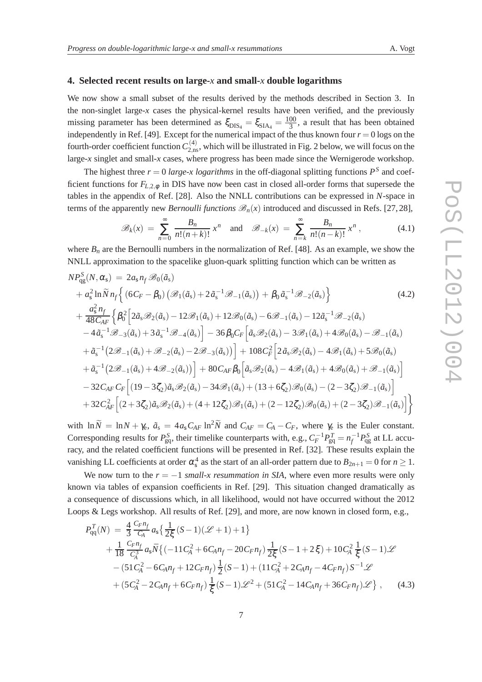#### **4. Selected recent results on large-***x* **and small-***x* **double logarithms**

We now show a small subset of the results derived by the methods described in Section 3. In the non-singlet large- $x$  cases the physical-kernel results have been verified, and the previously missing parameter has been determined as  $\xi_{\text{DIS}_4} = \xi_{\text{SIA}_4} = \frac{100}{3}$  $\frac{00}{3}$ , a result that has been obtained independently in Ref. [49]. Except for the numerical impact of the thus known four  $r = 0$  logs on the fourth-order coefficient function  $C_{2,\rm ns}^{(4)}$ , which will be illustrated in Fig. 2 below, we will focus on the large-*x* singlet and small-*x* cases, where progress has been made since the Wernigerode workshop.

The highest three  $r = 0$  *large-x logarithms* in the off-diagonal splitting functions  $P<sup>S</sup>$  and coefficient functions for *FL*,2,<sup>φ</sup> in DIS have now been cast in closed all-order forms that supersede the tables in the appendix of Ref. [28]. Also the NNLL contributions can be expressed in *N*-space in terms of the apparently new *Bernoulli functions*  $\mathcal{B}_n(x)$  introduced and discussed in Refs. [27, 28],

$$
\mathscr{B}_k(x) \ = \ \sum_{n=0}^{\infty} \ \frac{B_n}{n!(n+k)!} \ x^n \quad \text{and} \quad \mathscr{B}_{-k}(x) \ = \ \sum_{n=k}^{\infty} \ \frac{B_n}{n!(n-k)!} \ x^n \ , \tag{4.1}
$$

where  $B_n$  are the Bernoulli numbers in the normalization of Ref. [48]. As an example, we show the NNLL approximation to the spacelike gluon-quark splitting function which can be written as

$$
NP_{qg}^{S}(N, \alpha_{s}) = 2a_{s}n_{f} \mathcal{B}_{0}(\tilde{a}_{s})
$$
  
\n
$$
+ a_{s}^{2} \ln \tilde{N} n_{f} \Big\{ (6C_{F} - \beta_{0}) \left( \mathcal{B}_{1}(\tilde{a}_{s}) + 2\tilde{a}_{s}^{-1} \mathcal{B}_{-1}(\tilde{a}_{s}) \right) + \beta_{0} \tilde{a}_{s}^{-1} \mathcal{B}_{-2}(\tilde{a}_{s}) \Big\}
$$
  
\n
$$
+ \frac{a_{s}^{2} n_{f}}{48C_{AF}} \Big\{ \beta_{0}^{2} \Big[ 2\tilde{a}_{s} \mathcal{B}_{2}(\tilde{a}_{s}) - 12 \mathcal{B}_{1}(\tilde{a}_{s}) + 12 \mathcal{B}_{0}(\tilde{a}_{s}) - 6 \mathcal{B}_{-1}(\tilde{a}_{s}) - 12 \tilde{a}_{s}^{-1} \mathcal{B}_{-2}(\tilde{a}_{s})
$$
  
\n
$$
- 4\tilde{a}_{s}^{-1} \mathcal{B}_{-3}(\tilde{a}_{s}) + 3\tilde{a}_{s}^{-1} \mathcal{B}_{-4}(\tilde{a}_{s}) \Big] - 36 \beta_{0} C_{F} \Big[ \tilde{a}_{s} \mathcal{B}_{2}(\tilde{a}_{s}) - 3 \mathcal{B}_{1}(\tilde{a}_{s}) + 4 \mathcal{B}_{0}(\tilde{a}_{s}) - \mathcal{B}_{-1}(\tilde{a}_{s})
$$
  
\n
$$
+ \tilde{a}_{s}^{-1} \Big( 2 \mathcal{B}_{-1}(\tilde{a}_{s}) + \mathcal{B}_{-2}(\tilde{a}_{s}) - 2 \mathcal{B}_{-3}(\tilde{a}_{s}) \Big) \Big\} + 108 C_{F}^{2} \Big[ 2\tilde{a}_{s} \mathcal{B}_{2}(\tilde{a}_{s}) - 4 \mathcal{B}_{1}(\tilde{a}_{s}) + 5 \mathcal{B}_{0}(\tilde{a}_{s})
$$
  
\n
$$
+ \tilde{a}_{s}^{-1} \Big( 2 \mathcal{B}_{-1}(\tilde{a}_{s}) + 4 \mathcal{B}_{-2}(\tilde{a}_{s}) \Big)
$$

with  $\ln \widetilde{N} = \ln N + \gamma_e$ ,  $\tilde{a}_s = 4a_sC_{AF} \ln^2 \widetilde{N}$  and  $C_{AF} = C_A - C_F$ , where  $\gamma_e$  is the Euler constant. Corresponding results for  $P_{gg}^S$ , their timelike counterparts with, e.g.,  $C_F^{-1}P_{gg}^T = n_f^{-1}P_{gg}^S$  at LL accuracy, and the related coefficient functions will be presented in Ref. [32]. These results explain the vanishing LL coefficients at order  $\alpha_s^4$  as the start of an all-order pattern due to  $B_{2n+1} = 0$  for  $n \ge 1$ .

We now turn to the  $r = -1$  *small-x resummation in SIA*, where even more results were only known via tables of expansion coefficients in Ref. [29]. This situation changed dramatically as a consequence of discussions which, in all likelihood, would not have occurred without the 2012 Loops & Legs workshop. All results of Ref. [29], and more, are now known in closed form, e.g.,

$$
P_{qq}^{T}(N) = \frac{4}{3} \frac{C_F n_f}{C_A} a_s \left\{ \frac{1}{2\xi} (S-1)(\mathcal{L}+1) + 1 \right\} + \frac{1}{18} \frac{C_F n_f}{C_A^3} a_s \bar{N} \left\{ (-11 C_A^2 + 6 C_A n_f - 20 C_F n_f) \frac{1}{2\xi} (S-1+2\xi) + 10 C_A^2 \frac{1}{\xi} (S-1)\mathcal{L} \right. - (51 C_A^2 - 6 C_A n_f + 12 C_F n_f) \frac{1}{2} (S-1) + (11 C_A^2 + 2 C_A n_f - 4 C_F n_f) S^{-1} \mathcal{L} + (5 C_A^2 - 2 C_A n_f + 6 C_F n_f) \frac{1}{\xi} (S-1) \mathcal{L}^2 + (51 C_A^2 - 14 C_A n_f + 36 C_F n_f) \mathcal{L} \right\}, \quad (4.3)
$$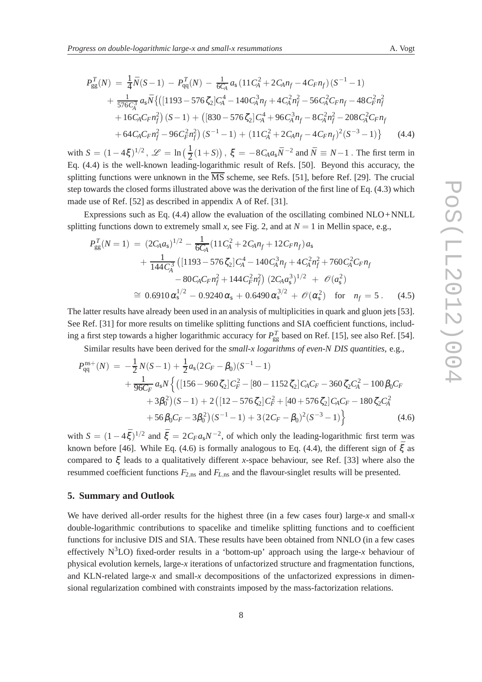$$
P_{gg}^{T}(N) = \frac{1}{4}\bar{N}(S-1) - P_{qq}^{T}(N) - \frac{1}{6C_A}a_s(11C_A^2 + 2C_An_f - 4C_Fn_f)(S^{-1} - 1) + \frac{1}{576C_A^3}a_s\bar{N}\{([1193 - 576\zeta_2]C_A^4 - 140C_A^3n_f + 4C_A^2n_f^2 - 56C_A^2C_Fn_f - 48C_F^2n_f^2 + 16C_AC_Fn_f^2)(S-1) + ([830 - 576\zeta_2]C_A^4 + 96C_A^3n_f - 8C_A^2n_f^2 - 208C_A^2C_Fn_f + 64C_AC_Fn_f^2 - 96C_F^2n_f^2)(S^{-1} - 1) + (11C_A^2 + 2C_An_f - 4C_Fn_f)^2(S^{-3} - 1)\}
$$
(4.4)

with  $S = (1 - 4\xi)^{1/2}$ ,  $\mathscr{L} = \ln\left(\frac{1}{2}(1+S)\right)$ ,  $\xi = -8C_Aa_s\bar{N}^{-2}$  and  $\bar{N} \equiv N-1$ . The first term in Eq. (4.4) is the well-known leading-logarithmic result of Refs. [50]. Beyond this accuracy, the splitting functions were unknown in the  $\overline{\text{MS}}$  scheme, see Refs. [51], before Ref. [29]. The crucial step towards the closed forms illustrated above was the derivation of the first line of Eq. (4.3) which made use of Ref. [52] as described in appendix A of Ref. [31].

Expressions such as Eq.  $(4.4)$  allow the evaluation of the oscillating combined NLO+NNLL splitting functions down to extremely small *x*, see Fig. 2, and at  $N = 1$  in Mellin space, e.g.,

$$
P_{gg}^{T}(N=1) = (2C_A a_s)^{1/2} - \frac{1}{6C_A} (11C_A^2 + 2C_A n_f + 12C_F n_f) a_s
$$
  
+ 
$$
\frac{1}{144C_A^3} ([1193 - 576 \zeta_2] C_A^4 - 140C_A^3 n_f + 4C_A^2 n_f^2 + 760C_A^2 C_F n_f
$$
  
- 
$$
80C_A C_F n_f^2 + 144C_F^2 n_f^2) (2C_A a_s^3)^{1/2} + \mathcal{O}(a_s^2)
$$
  

$$
\approx 0.6910 \alpha_s^{1/2} - 0.9240 \alpha_s + 0.6490 \alpha_s^{3/2} + \mathcal{O}(\alpha_s^2) \text{ for } n_f = 5.
$$
 (4.5)

The latter results have already been used in an analysis of multiplicities in quark and gluon jets [53]. See Ref. [31] for more results on timelike splitting functions and SIA coefficient functions, including a first step towards a higher logarithmic accuracy for  $P_{gg}^T$  based on Ref. [15], see also Ref. [54].

Similar results have been derived for the *small-x logarithms of even-N DIS quantities*, e.g.,

$$
P_{qq}^{ns+}(N) = -\frac{1}{2}N(S-1) + \frac{1}{2}a_5(2C_F - \beta_0)(S^{-1} - 1)
$$
  
+ 
$$
\frac{1}{96C_F}a_5N\left\{([156 - 960\zeta_2]C_F^2 - [80 - 1152\zeta_2]C_AC_F - 360\zeta_2C_A^2 - 100\beta_0C_F + 3\beta_0^2)(S-1) + 2([12 - 576\zeta_2]C_F^2 + [40 + 576\zeta_2]C_AC_F - 180\zeta_2C_A^2 + 56\beta_0C_F - 3\beta_0^2)(S^{-1} - 1) + 3(2C_F - \beta_0)^2(S^{-3} - 1)\right\}
$$
(4.6)

with  $S = (1 - 4\bar{\xi})^{1/2}$  and  $\bar{\xi} = 2C_F a_s N^{-2}$ , of which only the leading-logarithmic first term was known before [46]. While Eq. (4.6) is formally analogous to Eq. (4.4), the different sign of  $\bar{\xi}$  as compared to ξ leads to a qualitatively different *x*-space behaviour, see Ref. [33] where also the resummed coefficient functions  $F_{2,\text{ns}}$  and  $F_{L,\text{ns}}$  and the flavour-singlet results will be presented.

#### **5. Summary and Outlook**

We have derived all-order results for the highest three (in a few cases four) large-*x* and small-*x* double-logarithmic contributions to spacelike and timelike splitting functions and to coefficient functions for inclusive DIS and SIA. These results have been obtained from NNLO (in a few cases effectively  $N^3LO$ ) fixed-order results in a 'bottom-up' approach using the large-*x* behaviour of physical evolution kernels, large-*x* iterations of unfactorized structure and fragmentation functions, and KLN-related large-*x* and small-*x* decompositions of the unfactorized expressions in dimensional regularization combined with constraints imposed by the mass-factorization relations.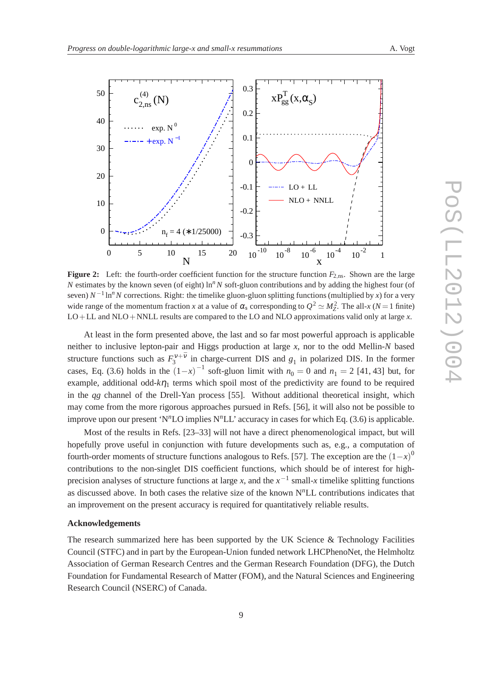

**Figure 2:** Left: the fourth-order coefficient function for the structure function  $F_{2,n}$ . Shown are the large *N* estimates by the known seven (of eight)  $\ln^n N$  soft-gluon contributions and by adding the highest four (of seven)  $N^{-1}$  ln<sup>*n*</sup> N corrections. Right: the timelike gluon-gluon splitting functions (multiplied by *x*) for a very wide range of the momentum fraction *x* at a value of  $\alpha_s$  corresponding to  $Q^2 \simeq M_Z^2$ . The all-*x* (*N* = 1 finite) LO+LL and NLO+NNLL results are compared to the LO and NLO approximations valid only at large *x*.

At least in the form presented above, the last and so far most powerful approach is applicable neither to inclusive lepton-pair and Higgs production at large *x*, nor to the odd Mellin-*N* based structure functions such as  $F_3^{\nu+\bar{\nu}}$  in charge-current DIS and  $g_1$  in polarized DIS. In the former cases, Eq. (3.6) holds in the  $(1-x)^{-1}$  soft-gluon limit with  $n_0 = 0$  and  $n_1 = 2$  [41, 43] but, for example, additional odd- $k\eta_1$  terms which spoil most of the predictivity are found to be required in the *qg* channel of the Drell-Yan process [55]. Without additional theoretical insight, which may come from the more rigorous approaches pursued in Refs. [56], it will also not be possible to improve upon our present 'N*n*LO implies N*n*LL' accuracy in cases for which Eq. (3.6) is applicable.

Most of the results in Refs. [23–33] will not have a direct phenomenological impact, but will hopefully prove useful in conjunction with future developments such as, e.g., a computation of fourth-order moments of structure functions analogous to Refs. [57]. The exception are the  $(1-x)^0$ contributions to the non-singlet DIS coefficient functions, which should be of interest for highprecision analyses of structure functions at large *x*, and the  $x^{-1}$  small-*x* timelike splitting functions as discussed above. In both cases the relative size of the known N<sup>n</sup>LL contributions indicates that an improvement on the present accuracy is required for quantitatively reliable results.

#### **Acknowledgements**

The research summarized here has been supported by the UK Science & Technology Facilities Council (STFC) and in part by the European-Union funded network LHCPhenoNet, the Helmholtz Association of German Research Centres and the German Research Foundation (DFG), the Dutch Foundation for Fundamental Research of Matter (FOM), and the Natural Sciences and Engineering Research Council (NSERC) of Canada.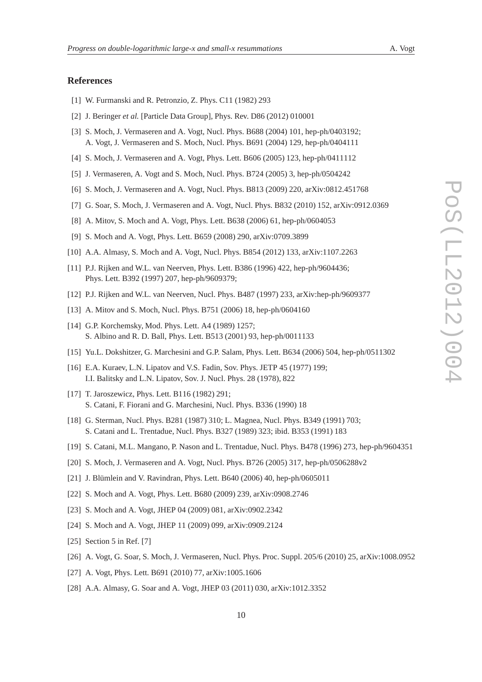### **References**

- [1] W. Furmanski and R. Petronzio, Z. Phys. C11 (1982) 293
- [2] J. Beringer *et al.* [Particle Data Group], Phys. Rev. D86 (2012) 010001
- [3] S. Moch, J. Vermaseren and A. Vogt, Nucl. Phys. B688 (2004) 101, hep-ph/0403192; A. Vogt, J. Vermaseren and S. Moch, Nucl. Phys. B691 (2004) 129, hep-ph/0404111
- [4] S. Moch, J. Vermaseren and A. Vogt, Phys. Lett. B606 (2005) 123, hep-ph/0411112
- [5] J. Vermaseren, A. Vogt and S. Moch, Nucl. Phys. B724 (2005) 3, hep-ph/0504242
- [6] S. Moch, J. Vermaseren and A. Vogt, Nucl. Phys. B813 (2009) 220, arXiv:0812.451768
- [7] G. Soar, S. Moch, J. Vermaseren and A. Vogt, Nucl. Phys. B832 (2010) 152, arXiv:0912.0369
- [8] A. Mitov, S. Moch and A. Vogt, Phys. Lett. B638 (2006) 61, hep-ph/0604053
- [9] S. Moch and A. Vogt, Phys. Lett. B659 (2008) 290, arXiv:0709.3899
- [10] A.A. Almasy, S. Moch and A. Vogt, Nucl. Phys. B854 (2012) 133, arXiv:1107.2263
- [11] P.J. Rijken and W.L. van Neerven, Phys. Lett. B386 (1996) 422, hep-ph/9604436; Phys. Lett. B392 (1997) 207, hep-ph/9609379;
- [12] P.J. Rijken and W.L. van Neerven, Nucl. Phys. B487 (1997) 233, arXiv:hep-ph/9609377
- [13] A. Mitov and S. Moch, Nucl. Phys. B751 (2006) 18, hep-ph/0604160
- [14] G.P. Korchemsky, Mod. Phys. Lett. A4 (1989) 1257; S. Albino and R. D. Ball, Phys. Lett. B513 (2001) 93, hep-ph/0011133
- [15] Yu.L. Dokshitzer, G. Marchesini and G.P. Salam, Phys. Lett. B634 (2006) 504, hep-ph/0511302
- [16] E.A. Kuraev, L.N. Lipatov and V.S. Fadin, Sov. Phys. JETP 45 (1977) 199; I.I. Balitsky and L.N. Lipatov, Sov. J. Nucl. Phys. 28 (1978), 822
- [17] T. Jaroszewicz, Phys. Lett. B116 (1982) 291; S. Catani, F. Fiorani and G. Marchesini, Nucl. Phys. B336 (1990) 18
- [18] G. Sterman, Nucl. Phys. B281 (1987) 310; L. Magnea, Nucl. Phys. B349 (1991) 703; S. Catani and L. Trentadue, Nucl. Phys. B327 (1989) 323; ibid. B353 (1991) 183
- [19] S. Catani, M.L. Mangano, P. Nason and L. Trentadue, Nucl. Phys. B478 (1996) 273, hep-ph/9604351
- [20] S. Moch, J. Vermaseren and A. Vogt, Nucl. Phys. B726 (2005) 317, hep-ph/0506288v2
- [21] J. Blümlein and V. Ravindran, Phys. Lett. B640 (2006) 40, hep-ph/0605011
- [22] S. Moch and A. Vogt, Phys. Lett. B680 (2009) 239, arXiv:0908.2746
- [23] S. Moch and A. Vogt, JHEP 04 (2009) 081, arXiv:0902.2342
- [24] S. Moch and A. Vogt, JHEP 11 (2009) 099, arXiv:0909.2124
- [25] Section 5 in Ref. [7]
- [26] A. Vogt, G. Soar, S. Moch, J. Vermaseren, Nucl. Phys. Proc. Suppl. 205/6 (2010) 25, arXiv:1008.0952
- [27] A. Vogt, Phys. Lett. B691 (2010) 77, arXiv:1005.1606
- [28] A.A. Almasy, G. Soar and A. Vogt, JHEP 03 (2011) 030, arXiv:1012.3352